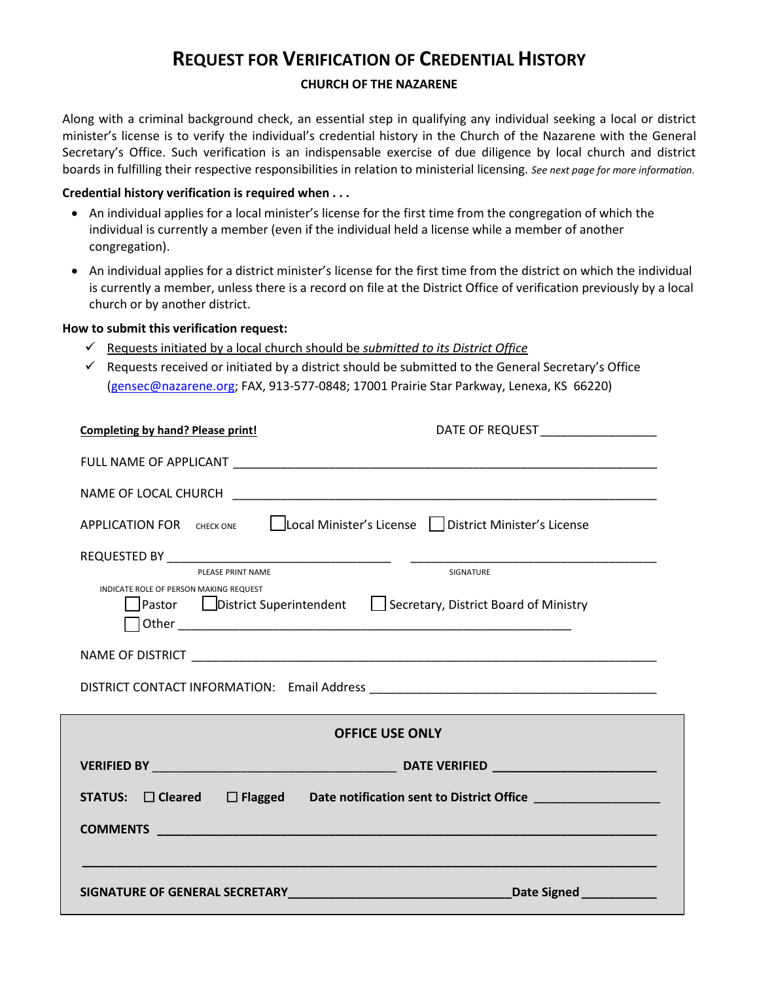## **REQUEST FOR VERIFICATION OF CREDENTIAL HISTORY**

### **CHURCH OF THE NAZARENE**

Along with a criminal background check, an essential step in qualifying any individual seeking a local or district minister's license is to verify the individual's credential history in the Church of the Nazarene with the General Secretary's Office. Such verification is an indispensable exercise of due diligence by local church and district boards in fulfilling their respective responsibilities in relation to ministerial licensing. *See next page for more information.*

### **Credential history verification is required when . . .**

- An individual applies for a local minister's license for the first time from the congregation of which the individual is currently a member (even if the individual held a license while a member of another congregation).
- An individual applies for a district minister's license for the first time from the district on which the individual is currently a member, unless there is a record on file at the District Office of verification previously by a local church or by another district.

### **How to submit this verification request:**

- Requests initiated by a local church should be *submitted to its District Office*
- $\checkmark$  Requests received or initiated by a district should be submitted to the General Secretary's Office (gensec@nazarene.org; FAX, 913-577-0848; 17001 Prairie Star Parkway, Lenexa, KS 66220)

| <b>Completing by hand? Please print!</b>                                                                            | DATE OF REQUEST ____________________ |
|---------------------------------------------------------------------------------------------------------------------|--------------------------------------|
|                                                                                                                     |                                      |
|                                                                                                                     |                                      |
| APPLICATION FOR CHECK ONE   Local Minister's License   District Minister's License                                  |                                      |
|                                                                                                                     |                                      |
|                                                                                                                     |                                      |
| INDICATE ROLE OF PERSON MAKING REQUEST<br>]Pastor □ District Superintendent □ Secretary, District Board of Ministry |                                      |
|                                                                                                                     |                                      |
|                                                                                                                     |                                      |
| <b>OFFICE USE ONLY</b>                                                                                              |                                      |
|                                                                                                                     |                                      |
| STATUS: □ Cleared □ Flagged Date notification sent to District Office ___________                                   |                                      |
|                                                                                                                     |                                      |
|                                                                                                                     |                                      |
|                                                                                                                     | Date Signed <b>Date Signed</b>       |